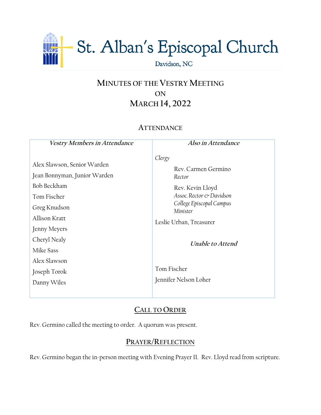

# **MINUTES OF THE VESTRY MEETING ON MARCH 14, 2022**

# **ATTENDANCE**

**Vestry Members in Attendance** Alex Slawson, Senior Warden Jean Bonnyman, Junior Warden Bob Beckham Tom Fischer Greg Knudson Allison Kratt Jenny Meyers Cheryl Nealy Mike Sass Alex Slawson Joseph Torok Danny Wiles **Also in Attendance** *Clergy* Rev. Carmen Germino *Rector* Rev. Kevin Lloyd *Assoc. Rector & Davidson College Episcopal Campus Minister* Leslie Urban, Treasurer **Unable to Attend** Tom Fischer Jennifer Nelson Loher

# **CALL TO ORDER**

Rev. Germino called the meeting to order. A quorum was present.

# **PRAYER/REFLECTION**

Rev. Germino began the in-person meeting with Evening Prayer II. Rev. Lloyd read from scripture.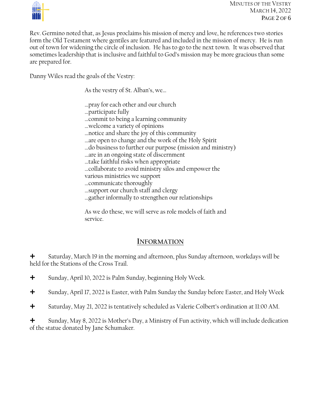

Rev. Germino noted that, as Jesus proclaims his mission of mercy and love, he references two stories form the Old Testament where gentiles are featured and included in the mission of mercy. He is run out of town for widening the circle of inclusion. He has to go to the next town. It was observed that sometimes leadership that is inclusive and faithful to God's mission may be more gracious than some are prepared for.

Danny Wiles read the goals of the Vestry:

As the vestry of St. Alban's, we…

- …pray for each other and our church
- …participate fully
- …commit to being a learning community
- …welcome a variety of opinions
- …notice and share the joy of this community
- …are open to change and the work of the Holy Spirit
- …do business to further our purpose (mission and ministry)
- …are in an ongoing state of discernment
- …take faithful risks when appropriate
- …collaborate to avoid ministry silos and empower the
- various ministries we support
- …communicate thoroughly
- …support our church staff and clergy
- …gather informally to strengthen our relationships

As we do these, we will serve as role models of faith and service.

# **INFORMATION**

 Saturday, March 19 in the morning and afternoon, plus Sunday afternoon, workdays will be held for the Stations of the Cross Trail.

- Sunday, April 10, 2022 is Palm Sunday, beginning Holy Week.
- Sunday, April 17, 2022 is Easter, with Palm Sunday the Sunday before Easter, and Holy Week
- Saturday, May 21, 2022 is tentatively scheduled as Valerie Colbert's ordination at 11:00 AM.

 $\bigstar$  Sunday, May 8, 2022 is Mother's Day, a Ministry of Fun activity, which will include dedication of the statue donated by Jane Schumaker.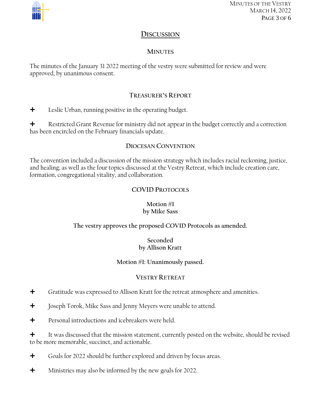

MINUTES OF THE VESTRY MARCH 14, 2022 PAGE 3 OF 6

# **DISCUSSION**

## **MINUTES**

The minutes of the January 31 2022 meeting of the vestry were submitted for review and were approved, by unanimous consent.

## **TREASURER'S REPORT**

**+** Leslie Urban, running positive in the operating budget.

 $\bigstar$  Restricted Grant Revenue for ministry did not appear in the budget correctly and a correction has been encircled on the February financials update.

### **DIOCESAN CONVENTION**

The convention included a discussion of the mission strategy which includes racial reckoning, justice, and healing; as well as the four topics discussed at the Vestry Retreat, which include creation care, formation, congregational vitality, and collaboration.

# **COVID PROTOCOLS**

#### **Motion #1 by Mike Sass**

## **The vestry approves the proposed COVID Protocols as amended.**

#### **Seconded by Allison Kratt**

#### **Motion #1: Unanimously passed.**

#### **VESTRY RETREAT**

- Gratitude was expressed to Allison Kratt for the retreat atmosphere and amenities.
- **+** Joseph Torok, Mike Sass and Jenny Meyers were unable to attend.
- **+** Personal introductions and icebreakers were held.

 $\bigstar$  It was discussed that the mission statement, currently posted on the website, should be revised to be more memorable, succinct, and actionable.

- Goals for 2022 should be further explored and driven by focus areas.
- **+** Ministries may also be informed by the new goals for 2022.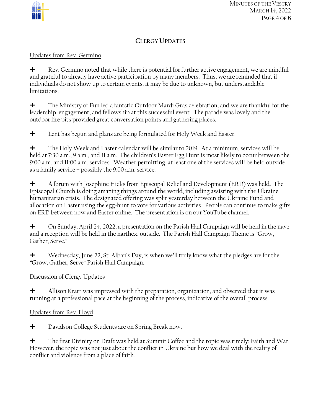

MINUTES OF THE VESTRY MARCH 14, 2022 PAGE 4 OF 6

# **CLERGY UPDATES**

## Updates from Rev. Germino

 $\bigstar$  Rev. Germino noted that while there is potential for further active engagement, we are mindful and grateful to already have active participation by many members. Thus, we are reminded that if individuals do not show up to certain events, it may be due to unknown, but understandable limitations.

 The Ministry of Fun led a fantstic Outdoor Mardi Gras celebration, and we are thankful for the leadership, engagement, and fellowship at this successful event. The parade was lovely and the outdoor fire pits provided great conversation points and gathering places.

**+** Lent has begun and plans are being formulated for Holy Week and Easter.

 The Holy Week and Easter calendar will be similar to 2019. At a minimum, services will be held at 7:30 a.m., 9 a.m., and 11 a.m. The children's Easter Egg Hunt is most likely to occur between the 9:00 a.m. and 11:00 a.m. services. Weather permitting, at least one of the services will be held outside as a family service – possibly the 9:00 a.m. service.

 $\bigstar$  A forum with Josephine Hicks from Episcopal Relief and Development (ERD) was held. The Episcopal Church is doing amazing things around the world, including assisting with the Ukraine humanitarian crisis. The designated offering was split yesterday between the Ukraine Fund and allocation on Easter using the egg-hunt to vote for various activities. People can continue to make gifts on ERD between now and Easter online. The presentation is on our YouTube channel.

 On Sunday, April 24, 2022, a presentation on the Parish Hall Campaign will be held in the nave and a reception will be held in the narthex, outside. The Parish Hall Campaign Theme is "Grow, Gather, Serve."

 Wednesday, June 22, St. Alban's Day, is when we'll truly know what the pledges are for the "Grow, Gather, Serve" Parish Hall Campaign.

## Discussion of Clergy Updates

 $\bigstar$  Allison Kratt was impressed with the preparation, organization, and observed that it was running at a professional pace at the beginning of the process, indicative of the overall process.

## Updates from Rev. Lloyd

**+** Davidson College Students are on Spring Break now.

 The first Divinity on Draft was held at Summit Coffee and the topic was timely: Faith and War. However, the topic was not just about the conflict in Ukraine but how we deal with the reality of conflict and violence from a place of faith.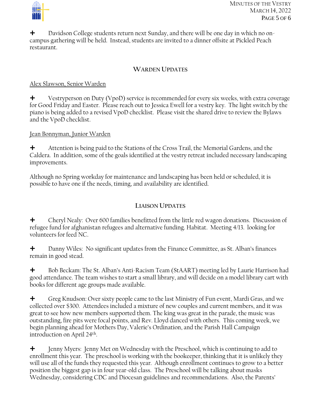

 $\bigstar$  Davidson College students return next Sunday, and there will be one day in which no oncampus gathering will be held. Instead, students are invited to a dinner offsite at Pickled Peach restaurant.

#### **WARDEN UPDATES**

#### Alex Slawson, Senior Warden

 $\bigstar$  Vestryperson on Duty (VpoD) service is recommended for every six weeks, with extra coverage for Good Friday and Easter. Please reach out to Jessica Ewell for a vestry key. The light switch by the piano is being added to a revised VpoD checklist. Please visit the shared drive to review the Bylaws and the VpoD checklist.

### Jean Bonnyman, Junior Warden

 Attention is being paid to the Stations of the Cross Trail, the Memorial Gardens, and the Caldera. In addition, some of the goals identified at the vestry retreat included necessary landscaping improvements.

Although no Spring workday for maintenance and landscaping has been held or scheduled, it is possible to have one if the needs, timing, and availability are identified.

## **LIAISON UPDATES**

 Cheryl Nealy: Over 600 families benefitted from the little red wagon donations. Discussion of refugee fund for afghanistan refugees and alternative funding. Habitat. Meeting 4/13. looking for volunteers for feed NC.

<sup>+</sup> Danny Wiles: No significant updates from the Finance Committee, as St. Alban's finances remain in good stead.

 Bob Beckam: The St. Alban's Anti-Racism Team (StAART) meeting led by Laurie Harrison had good attendance. The team wishes to start a small library, and will decide on a model library cart with books for different age groups made available.

 Greg Knudson: Over sixty people came to the last Ministry of Fun event, Mardi Gras, and we collected over \$300. Attendees included a mixture of new couples and current members, and it was great to see how new members supported them. The king was great in the parade, the music was outstanding, fire pits were focal points, and Rev. Lloyd danced with others. This coming week, we begin planning ahead for Mothers Day, Valerie's Ordination, and the Parish Hall Campaign introduction on April 24th .

 Jenny Myers: Jenny Met on Wednesday with the Preschool, which is continuing to add to enrollment this year. The preschool is working with the bookeeper, thinking that it is unlikely they will use all of the funds they requested this year. Although enrollment continues to grow to a better position the biggest gap is in four year-old class. The Preschool will be talking about masks Wednesday, considering CDC and Diocesan guidelines and recommendations. Also, the Parents'